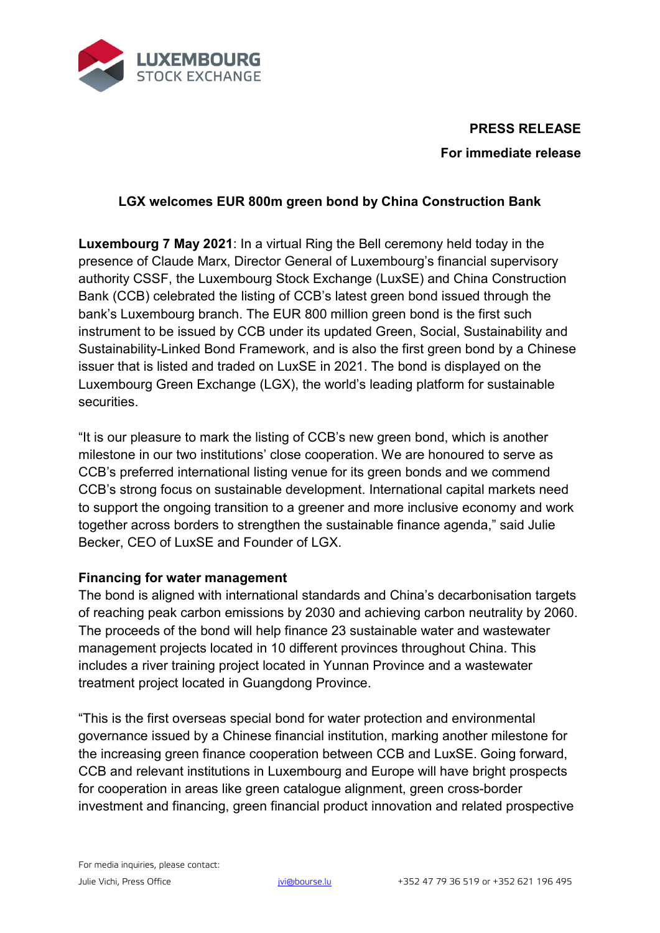

# **PRESS RELEASE For immediate release**

## **LGX welcomes EUR 800m green bond by China Construction Bank**

**Luxembourg 7 May 2021**: In a virtual Ring the Bell ceremony held today in the presence of Claude Marx, Director General of Luxembourg's financial supervisory authority CSSF, the Luxembourg Stock Exchange (LuxSE) and China Construction Bank (CCB) celebrated the listing of CCB's latest green bond issued through the bank's Luxembourg branch. The EUR 800 million green bond is the first such instrument to be issued by CCB under its updated Green, Social, Sustainability and Sustainability-Linked Bond Framework, and is also the first green bond by a Chinese issuer that is listed and traded on LuxSE in 2021. The bond is displayed on the Luxembourg Green Exchange (LGX), the world's leading platform for sustainable **securities** 

"It is our pleasure to mark the listing of CCB's new green bond, which is another milestone in our two institutions' close cooperation. We are honoured to serve as CCB's preferred international listing venue for its green bonds and we commend CCB's strong focus on sustainable development. International capital markets need to support the ongoing transition to a greener and more inclusive economy and work together across borders to strengthen the sustainable finance agenda," said Julie Becker, CEO of LuxSE and Founder of LGX.

### **Financing for water management**

The bond is aligned with international standards and China's decarbonisation targets of reaching peak carbon emissions by 2030 and achieving carbon neutrality by 2060. The proceeds of the bond will help finance 23 sustainable water and wastewater management projects located in 10 different provinces throughout China. This includes a river training project located in Yunnan Province and a wastewater treatment project located in Guangdong Province.

"This is the first overseas special bond for water protection and environmental governance issued by a Chinese financial institution, marking another milestone for the increasing green finance cooperation between CCB and LuxSE. Going forward, CCB and relevant institutions in Luxembourg and Europe will have bright prospects for cooperation in areas like green catalogue alignment, green cross-border investment and financing, green financial product innovation and related prospective